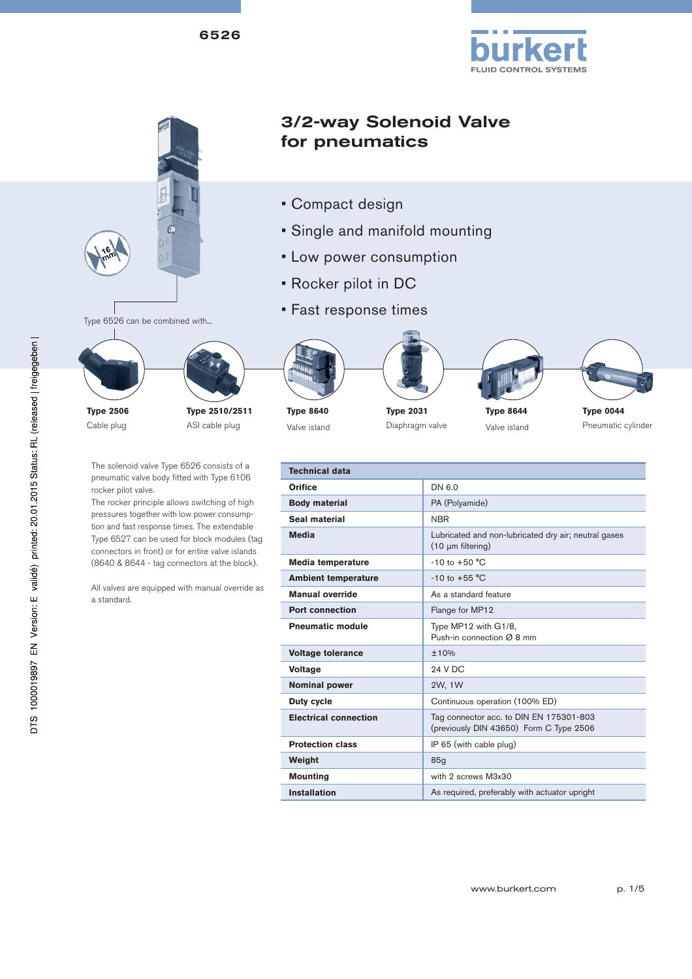



**Manual override As a standard feature Port connection** Flange for MP12 **Pneumatic module** Type MP12 with G1/8,

**Duty cycle Continuous operation (100% ED)** 

**Protection class IP 65** (with cable plug)

**Mounting With 2 screws M3x30** 

**Electrical connection** Tag connector acc. to DIN EN 175301-803

**Installation As required, preferably with actuator upright** 

**Voltage tolerance**  $\qquad 10\%$ **Voltage** 24 V DC **Nominal power**  2W, 1W

**Weight** 85<sub>g</sub>

Push-in connection Ø 8 mm

(previously DIN 43650) Form C Type 2506

All valves are equipped with manual override as a standard.

DTS 1000019897 EN Version: E validé) printed: 20.01.2015 Status: RL (released | freigegeben |

| www.burkert.com | p. 1/5 |
|-----------------|--------|
|                 |        |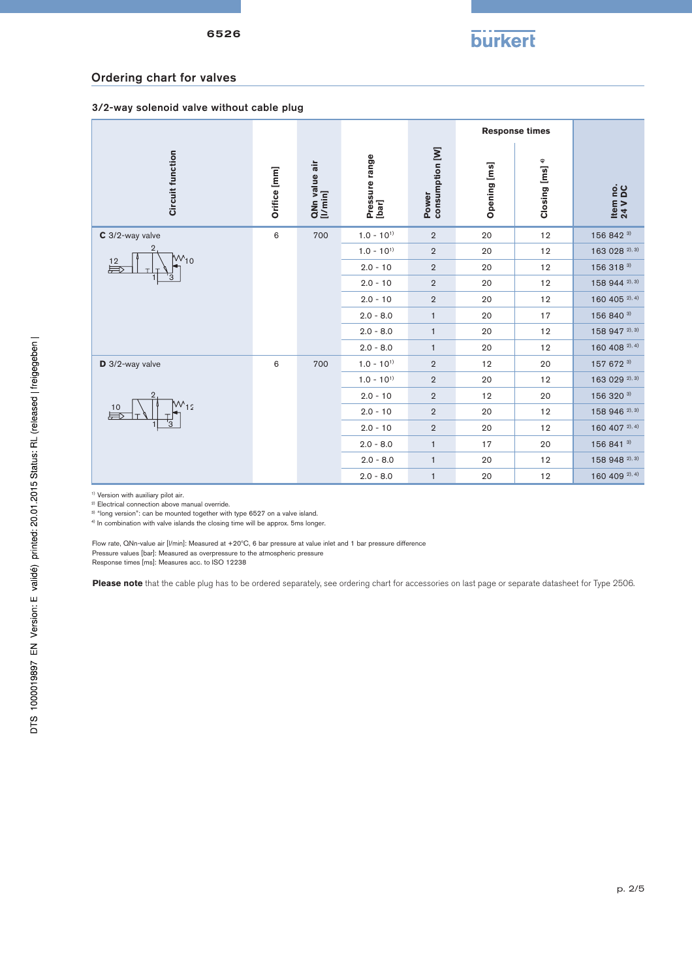

#### Ordering chart for valves

#### 3/2-way solenoid valve without cable plug

|                            |              |                          |                         |                          |              | <b>Response times</b>      |                     |
|----------------------------|--------------|--------------------------|-------------------------|--------------------------|--------------|----------------------------|---------------------|
| <b>Circuit function</b>    | Orifice [mm] | QNn value air<br>[I/min] | Pressure range<br>[bar] | consumption [W]<br>Power | Opening [ms] | Closing [ms] <sup>4)</sup> | Item no.<br>24 V DC |
| C 3/2-way valve            | $\,6\,$      | 700                      | $1.0 - 10^{1}$          | $\overline{2}$           | 20           | 12                         | 156 842 3)          |
| $M_{10}$<br>$rac{12}{500}$ |              |                          | $1.0 - 10^{1}$          | $\overline{2}$           | 20           | 12                         | 163 028 2), 3)      |
|                            |              |                          | $2.0 - 10$              | $\overline{2}$           | 20           | 12                         | 156 318 3)          |
|                            |              |                          | $2.0 - 10$              | $\overline{2}$           | 20           | 12                         | 158 944 2), 3)      |
|                            |              |                          | $2.0 - 10$              | $\overline{2}$           | 20           | 12                         | 160 405 2), 4)      |
|                            |              |                          | $2.0 - 8.0$             | $\mathbf{1}$             | 20           | 17                         | 156 840 3)          |
|                            |              |                          | $2.0 - 8.0$             | $\mathbf{1}$             | 20           | 12                         | 158 947 2), 3)      |
|                            |              |                          | $2.0 - 8.0$             | $\mathbf{1}$             | 20           | 12                         | 160 408 2), 4)      |
| D 3/2-way valve            | 6            | 700                      | $1.0 - 10^{1}$          | $\overline{2}$           | 12           | 20                         | 157 672 3)          |
| $W_{12}$<br>$\frac{10}{2}$ |              |                          | $1.0 - 10^{11}$         | $\overline{2}$           | 20           | 12                         | 163 029 2), 3)      |
|                            |              |                          | $2.0 - 10$              | $\overline{2}$           | 12           | 20                         | 156 320 3)          |
|                            |              |                          | $2.0 - 10$              | $\overline{2}$           | 20           | 12                         | 158 946 2), 3)      |
|                            |              |                          | $2.0 - 10$              | $\overline{2}$           | 20           | 12                         | 160 407 2), 4)      |
|                            |              |                          |                         |                          | $2.0 - 8.0$  | $\mathbf{1}$               | 17                  |
|                            |              |                          | $2.0 - 8.0$             | $\mathbf{1}$             | 20           | 12                         | 158 948 2), 3)      |
|                            |              |                          | $2.0 - 8.0$             | $\mathbf{1}$             | 20           | 12                         | 160 409 2), 4)      |

<sup>1)</sup> Version with auxiliary pilot air.

2) Electrical connection above manual override.

<sup>3)</sup> "long version": can be mounted together with type 6527 on a valve island.

4) In combination with valve islands the closing time will be approx. 5ms longer.

Flow rate, QNn-value air [l/min]: Measured at +20°C, 6 bar pressure at value inlet and 1 bar pressure difference<br>Pressure values [bar]: Measured as overpressure to the atmospheric pressure<br>Response times [ms]: Measures acc

**Please note** that the cable plug has to be ordered separately, see ordering chart for accessories on last page or separate datasheet for Type 2506.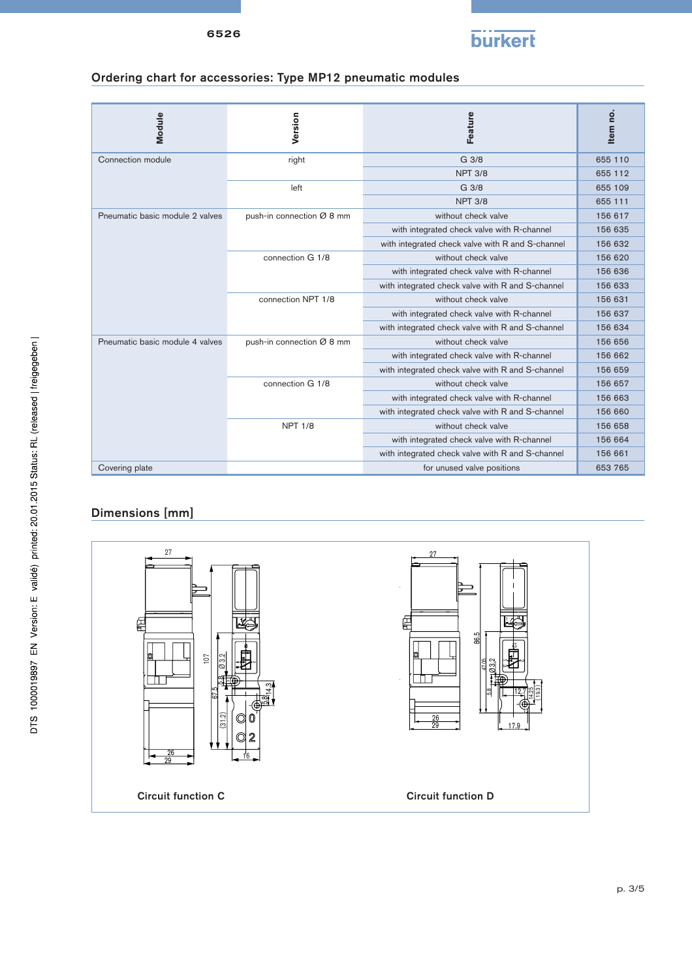

# Ordering chart for accessories: Type MP12 pneumatic modules

| Module                          | Version                   | Feature                                          | Item no. |
|---------------------------------|---------------------------|--------------------------------------------------|----------|
| Connection module               | right                     | G 3/8                                            | 655 110  |
|                                 |                           | <b>NPT 3/8</b>                                   | 655 112  |
|                                 | left                      | G 3/8                                            | 655 109  |
|                                 |                           | <b>NPT 3/8</b>                                   | 655 111  |
| Pneumatic basic module 2 valves | push-in connection Ø 8 mm | without check valve                              | 156 617  |
|                                 |                           | with integrated check valve with R-channel       | 156 635  |
|                                 |                           | with integrated check valve with R and S-channel | 156 632  |
|                                 | connection G 1/8          | without check valve                              | 156 620  |
|                                 |                           | with integrated check valve with R-channel       | 156 636  |
|                                 |                           | with integrated check valve with R and S-channel | 156 633  |
|                                 | connection NPT 1/8        | without check valve                              | 156 631  |
|                                 |                           | with integrated check valve with R-channel       | 156 637  |
|                                 |                           | with integrated check valve with R and S-channel | 156 634  |
| Pneumatic basic module 4 valves | push-in connection Ø 8 mm | without check valve                              | 156 656  |
|                                 |                           | with integrated check valve with R-channel       | 156 662  |
|                                 |                           | with integrated check valve with R and S-channel | 156 659  |
|                                 | connection G 1/8          | without check valve                              | 156 657  |
|                                 |                           | with integrated check valve with R-channel       | 156 663  |
|                                 |                           | with integrated check valve with R and S-channel | 156 660  |
|                                 | <b>NPT 1/8</b>            | without check valve                              | 156 658  |
|                                 |                           | with integrated check valve with R-channel       | 156 664  |
|                                 |                           | with integrated check valve with R and S-channel | 156 661  |
| Covering plate                  |                           | for unused valve positions                       | 653 765  |

# Dimensions [mm]

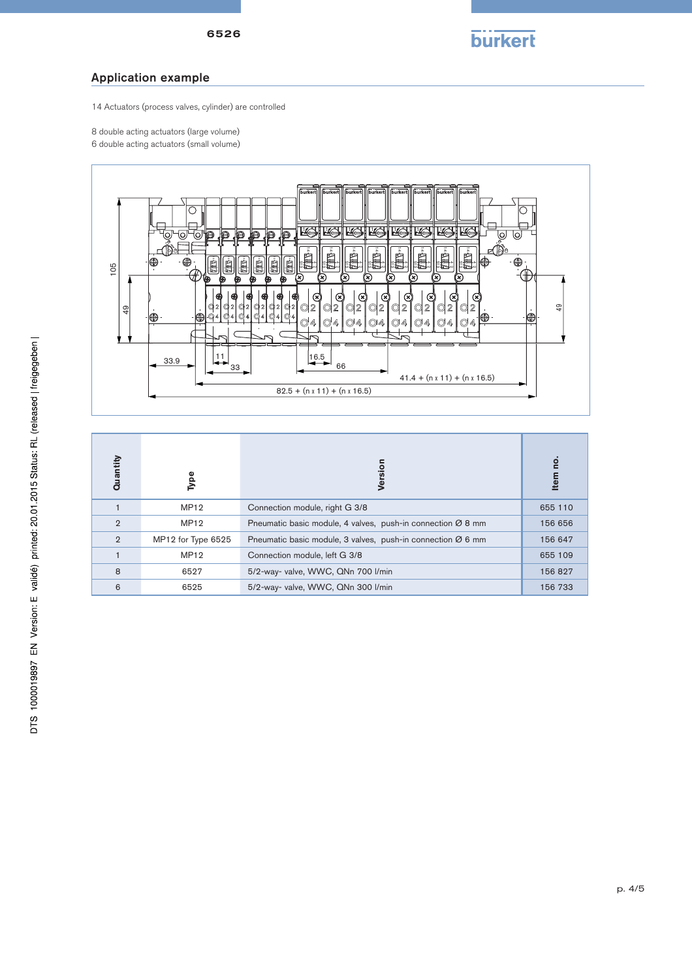#### Application example

14 Actuators (process valves, cylinder) are controlled

- 8 double acting actuators (large volume)
- 6 double acting actuators (small volume)



| $\frac{9}{4}$  | ©4 04 04<br>⊕<br>33.9<br>33 | 92 92 92 92 92 92<br>Q2<br>Q2<br>Q2<br>Q2<br>Q2<br>Q2<br>Q2<br>Q2<br>$\odot$ 4 $\odot$ 4<br>∣ ©4<br>$\bigcirc$ 4<br>$\bigcirc$ 4<br>$\bigcirc$ 4<br>◎4<br>04<br>◎4<br>$\bigcirc$ 4<br>O4<br>$\frac{16.5}{1}$<br>66<br>$41.4 + (n \times 11) + (n \times 16.5)$<br>$82.5 + (n \times 11) + (n \times 16.5)$ | ဍ<br>⊕   |
|----------------|-----------------------------|------------------------------------------------------------------------------------------------------------------------------------------------------------------------------------------------------------------------------------------------------------------------------------------------------------|----------|
| Quantity       | Type                        | Version                                                                                                                                                                                                                                                                                                    | Item no. |
| $\mathbf{1}$   | <b>MP12</b>                 | Connection module, right G 3/8                                                                                                                                                                                                                                                                             | 655 110  |
| $\overline{2}$ | <b>MP12</b>                 | Pneumatic basic module, 4 valves, push-in connection $\varnothing$ 8 mm                                                                                                                                                                                                                                    | 156 656  |
| $\overline{2}$ | MP12 for Type 6525          | Pneumatic basic module, 3 valves, push-in connection $\varnothing$ 6 mm                                                                                                                                                                                                                                    |          |
| 1              | MP12                        | Connection module, left G 3/8                                                                                                                                                                                                                                                                              |          |
| 8              | 6527                        | 5/2-way- valve, WWC, QNn 700 l/min                                                                                                                                                                                                                                                                         | 156 827  |
| 6              | 6525                        | 5/2-way- valve, WWC, QNn 300 l/min                                                                                                                                                                                                                                                                         | 156 733  |